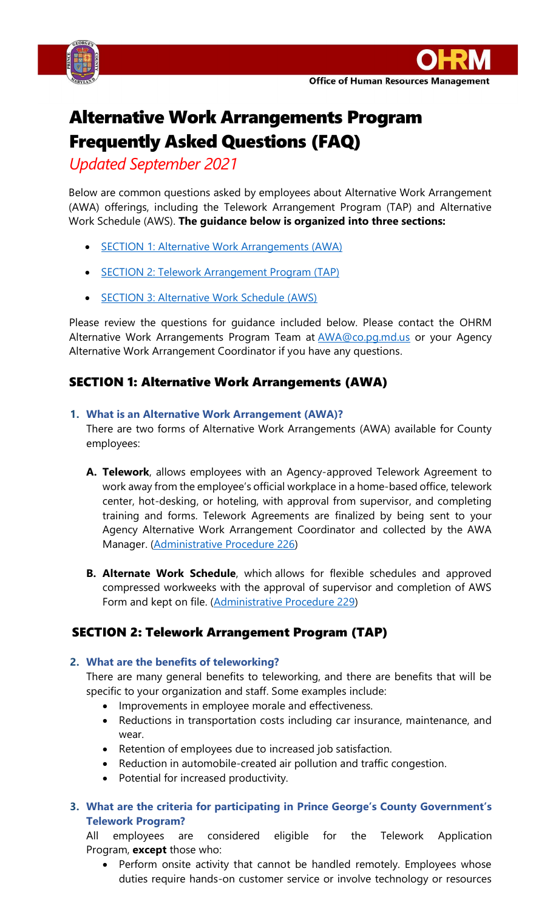



# Alternative Work Arrangements Program Frequently Asked Questions (FAQ)

*Updated September 2021*

Below are common questions asked by employees about Alternative Work Arrangement (AWA) offerings, including the Telework Arrangement Program (TAP) and Alternative Work Schedule (AWS). **The guidance below is organized into three sections:** 

- [SECTION 1: Alternative Work Arrangements \(AWA\)](#page-0-0)
- [SECTION 2: Telework Arrangement Program \(TAP\)](#page-0-1)
- [SECTION 3: Alternative Work Schedule \(AWS\)](#page-2-0)

Please review the questions for guidance included below. Please contact the OHRM Alternative Work Arrangements Program Team at **[AWA@co.pg.md.us](mailto:AWA@co.pg.md.us)** or your Agency Alternative Work Arrangement Coordinator if you have any questions.

# <span id="page-0-0"></span>SECTION 1: Alternative Work Arrangements (AWA)

**1. What is an Alternative Work Arrangement (AWA)?**

There are two forms of Alternative Work Arrangements (AWA) available for County employees:

- **A. Telework**, allows employees with an Agency-approved Telework Agreement to work away from the employee's official workplace in a home-based office, telework center, hot-desking, or hoteling, with approval from supervisor, and completing training and forms. Telework Agreements are finalized by being sent to your Agency Alternative Work Arrangement Coordinator and collected by the AWA Manager. [\(Administrative Procedure 226\)](https://princegeorgescountymd.sharepoint.com/:b:/s/ESLRDivision/EYLSYwAxn7hIhLipgTZP7y0B_c_-kglpbjFGKpkkCSUrhw?e=j5g3v4)
- **B. Alternate Work Schedule**, which allows for flexible schedules and approved compressed workweeks with the approval of supervisor and completion of AWS Form and kept on file. [\(Administrative Procedure 229\)](https://princegeorgescountymd.sharepoint.com/:b:/s/ESLRDivision/ERnFsOfIdv5Hr02rGXJOtOEByT_-h0Z6USls5AxHzYcLkw?e=Hex6pq)

# <span id="page-0-1"></span>SECTION 2: Telework Arrangement Program (TAP)

# **2. What are the benefits of teleworking?**

There are many general benefits to teleworking, and there are benefits that will be specific to your organization and staff. Some examples include:

- Improvements in employee morale and effectiveness.
- Reductions in transportation costs including car insurance, maintenance, and wear.
- Retention of employees due to increased job satisfaction.
- Reduction in automobile-created air pollution and traffic congestion.
- Potential for increased productivity.
- **3. What are the criteria for participating in Prince George's County Government's Telework Program?**

All employees are considered eligible for the Telework Application Program, **except** those who:

• Perform onsite activity that cannot be handled remotely. Employees whose duties require hands-on customer service or involve technology or resources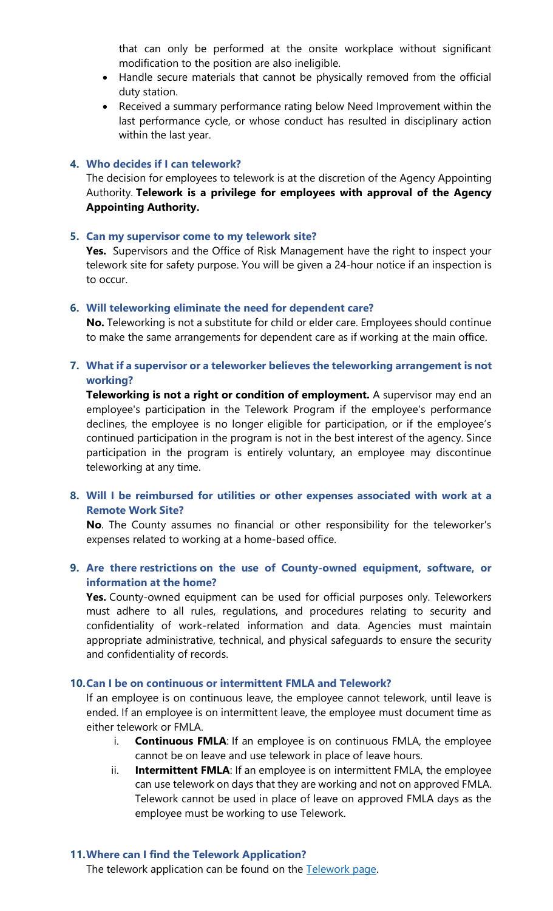that can only be performed at the onsite workplace without significant modification to the position are also ineligible.

- Handle secure materials that cannot be physically removed from the official duty station.
- Received a summary performance rating below Need Improvement within the last performance cycle, or whose conduct has resulted in disciplinary action within the last year.

#### **4. Who decides if I can telework?**

The decision for employees to telework is at the discretion of the Agency Appointing Authority. **Telework is a privilege for employees with approval of the Agency Appointing Authority.**

#### **5. Can my supervisor come to my telework site?**

**Yes.** Supervisors and the Office of Risk Management have the right to inspect your telework site for safety purpose. You will be given a 24-hour notice if an inspection is to occur.

#### **6. Will teleworking eliminate the need for dependent care?**

**No.** Teleworking is not a substitute for child or elder care. Employees should continue to make the same arrangements for dependent care as if working at the main office.

## **7. What if a supervisor or a teleworker believes the teleworking arrangement is not working?**

**Teleworking is not a right or condition of employment.** A supervisor may end an employee's participation in the Telework Program if the employee's performance declines, the employee is no longer eligible for participation, or if the employee's continued participation in the program is not in the best interest of the agency. Since participation in the program is entirely voluntary, an employee may discontinue teleworking at any time.

## **8. Will I be reimbursed for utilities or other expenses associated with work at a Remote Work Site?**

**No**. The County assumes no financial or other responsibility for the teleworker's expenses related to working at a home-based office.

#### **9. Are there restrictions on the use of County-owned equipment, software, or information at the home?**

**Yes.** County-owned equipment can be used for official purposes only. Teleworkers must adhere to all rules, regulations, and procedures relating to security and confidentiality of work-related information and data. Agencies must maintain appropriate administrative, technical, and physical safeguards to ensure the security and confidentiality of records.

#### **10.Can I be on continuous or intermittent FMLA and Telework?**

If an employee is on continuous leave, the employee cannot telework, until leave is ended. If an employee is on intermittent leave, the employee must document time as either telework or FMLA.

- i. **Continuous FMLA**: If an employee is on continuous FMLA, the employee cannot be on leave and use telework in place of leave hours.
- ii. **Intermittent FMLA**: If an employee is on intermittent FMLA, the employee can use telework on days that they are working and not on approved FMLA. Telework cannot be used in place of leave on approved FMLA days as the employee must be working to use Telework.

#### **11.Where can I find the Telework Application?**

The telework application can be found on the [Telework page.](https://www.princegeorgescountymd.gov/3413/Telework)